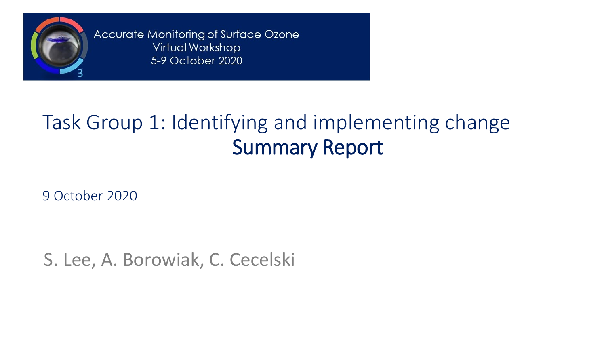

Accurate Monitoring of Surface Ozone Virtual Workshop 5-9 October 2020

# Task Group 1: Identifying and implementing change Summary Report

9 October 2020

S. Lee, A. Borowiak, C. Cecelski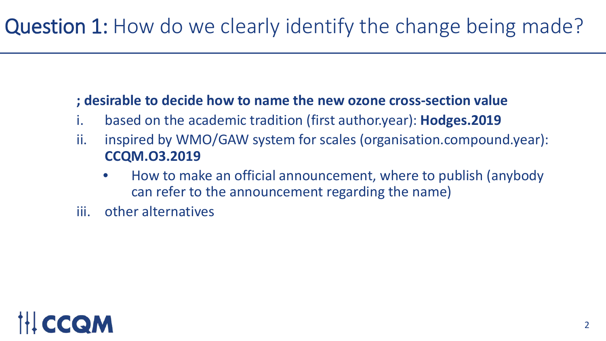### **; desirable to decide how to name the new ozone cross-section value**

- i. based on the academic tradition (first author.year): **Hodges.2019**
- ii. inspired by WMO/GAW system for scales (organisation.compound.year): **CCQM.O3.2019**
	- How to make an official announcement, where to publish (anybody can refer to the announcement regarding the name)
- iii. other alternatives

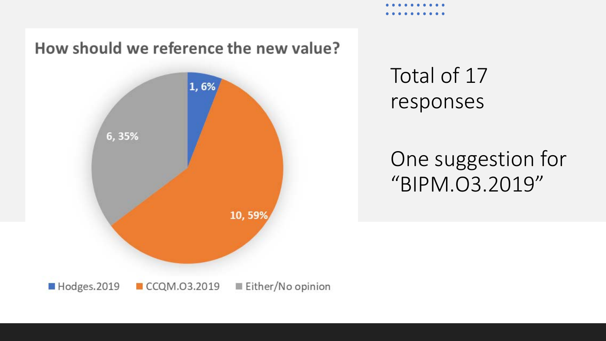How should we reference the new value?



Total of 17 responses

### One suggestion for "BIPM.O3.2019"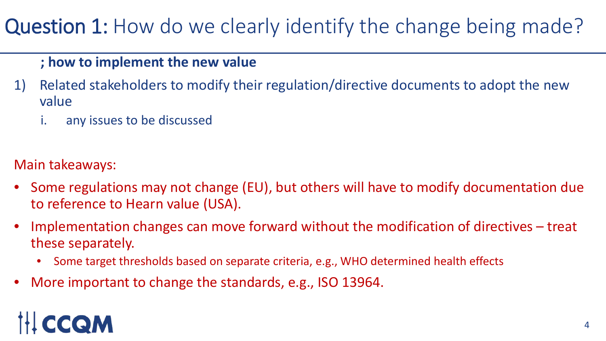#### **; how to implement the new value**

- 1) Related stakeholders to modify their regulation/directive documents to adopt the new value
	- i. any issues to be discussed

### Main takeaways:

- Some regulations may not change (EU), but others will have to modify documentation due to reference to Hearn value (USA).
- Implementation changes can move forward without the modification of directives treat these separately.
	- Some target thresholds based on separate criteria, e.g., WHO determined health effects
- More important to change the standards, e.g., ISO 13964.

# CCQM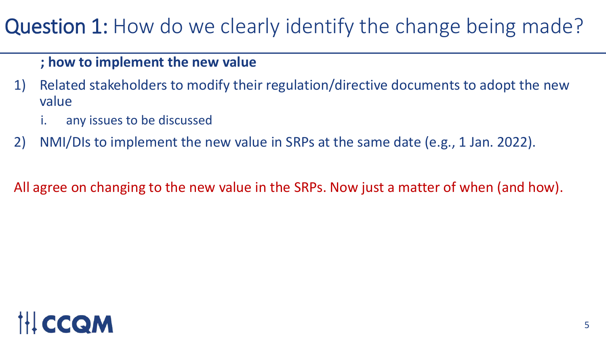#### **; how to implement the new value**

- 1) Related stakeholders to modify their regulation/directive documents to adopt the new value
	- any issues to be discussed
- 2) NMI/DIs to implement the new value in SRPs at the same date (e.g., 1 Jan. 2022).

All agree on changing to the new value in the SRPs. Now just a matter of when (and how).

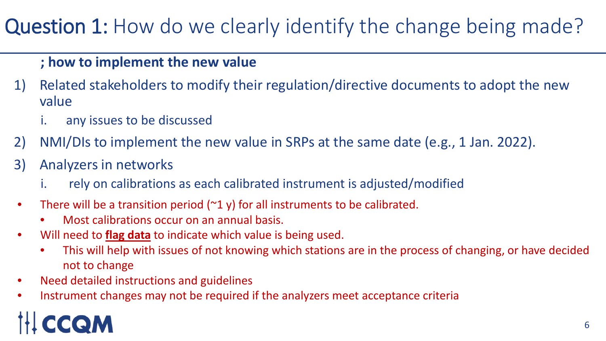### **; how to implement the new value**

- 1) Related stakeholders to modify their regulation/directive documents to adopt the new value
	- i. any issues to be discussed
- 2) NMI/DIs to implement the new value in SRPs at the same date (e.g., 1 Jan. 2022).
- 3) Analyzers in networks
	- i. rely on calibrations as each calibrated instrument is adjusted/modified
- There will be a transition period (~1 y) for all instruments to be calibrated.
	- Most calibrations occur on an annual basis.
- Will need to *flag data* to indicate which value is being used.
	- This will help with issues of not knowing which stations are in the process of changing, or have decided not to change with the new value of the new value of the new value of the new value of the new value of the new value of the new value of the new value of the new value of the new value of the new value of the new value of
- Need detailed instructions and guidelines
- Instrument changes may not be required if the analyzers meet acceptance criteria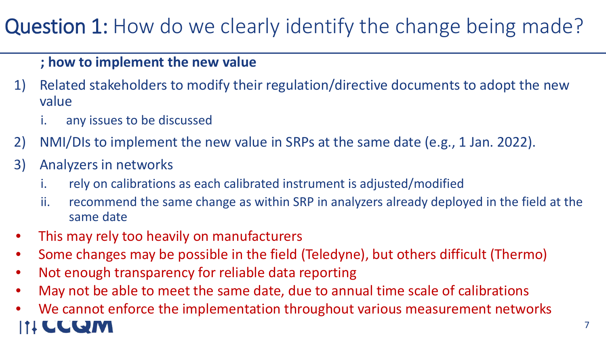### **; how to implement the new value**

- 1) Related stakeholders to modify their regulation/directive documents to adopt the new value
	- i. any issues to be discussed
- 2) NMI/DIs to implement the new value in SRPs at the same date (e.g., 1 Jan. 2022).
- 3) Analyzers in networks
	- i. rely on calibrations as each calibrated instrument is adjusted/modified
	- ii. recommend the same change as within SRP in analyzers already deployed in the field at the same date
- This may rely too heavily on manufacturers **by 1.23 at 1.33 areas**
- Some changes may be possible in the field (Teledyne), but others difficult (Thermo)
- Not enough transparency for reliable data reporting
- May not be able to meet the same date, due to annual time scale of calibrations
- We cannot enforce the implementation throughout various measurement networksLLQM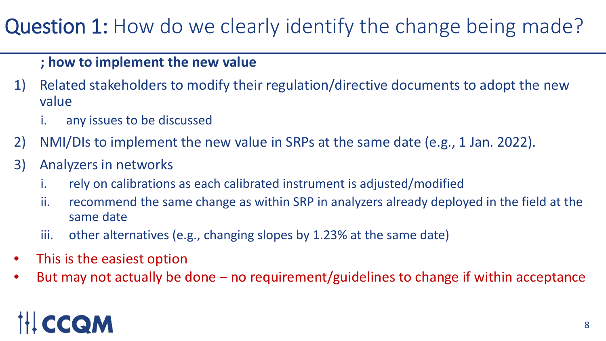### **; how to implement the new value**

- 1) Related stakeholders to modify their regulation/directive documents to adopt the new value
	- i. any issues to be discussed
- 2) NMI/DIs to implement the new value in SRPs at the same date (e.g., 1 Jan. 2022).
- 3) Analyzers in networks
	- i. rely on calibrations as each calibrated instrument is adjusted/modified
	- ii. recommend the same change as within SRP in analyzers already deployed in the field at the same date
	- iii. other alternatives (e.g., changing slopes by 1.23% at the same date)
- $\sum_{i=1}^{n}$ • This is the easiest option
- provement of the new values of the new values of the new values of the new values of the new values of the new values of the new values of the new values of the new values of the new values of the new values of the new val 4) Instructions/guidelines are needed for each approach or consensus method? • But may not actually be done – no requirement/guidelines to change if within acceptance

# CCOM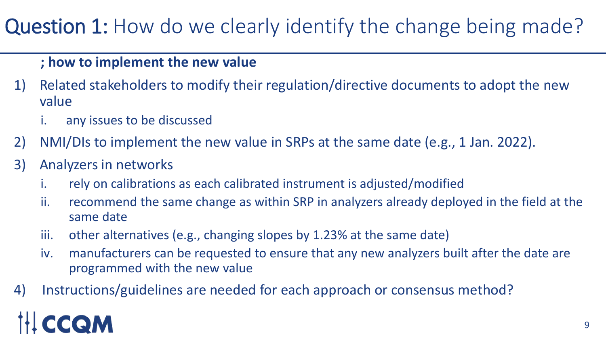### **; how to implement the new value**

- 1) Related stakeholders to modify their regulation/directive documents to adopt the new value
	- i. any issues to be discussed
- 2) NMI/DIs to implement the new value in SRPs at the same date (e.g., 1 Jan. 2022).
- 3) Analyzers in networks
	- i. rely on calibrations as each calibrated instrument is adjusted/modified
	- ii. recommend the same change as within SRP in analyzers already deployed in the field at the same date
	- iii. other alternatives (e.g., changing slopes by 1.23% at the same date)
	- iv. manufacturers can be requested to ensure that any new analyzers built after the date are programmed with the new value
- 4) Instructions/guidelines are needed for each approach or consensus method?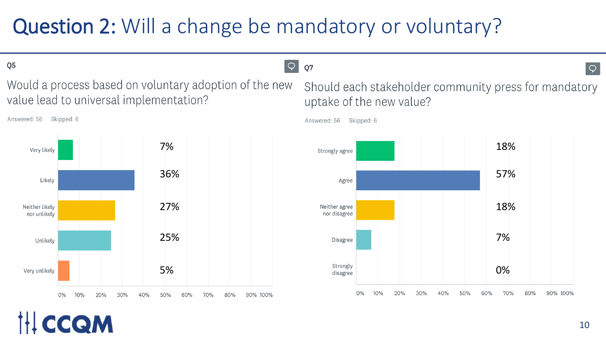# Question 2: Will a change be mandatory or voluntary?

Q<sub>5</sub>

Answered: 56 Skipped: 6

CCQM

Would a process based on voluntary adoption of the new value lead to universal implementation?



 $\circ$  $Q7$ 

> Should each stakeholder community press for mandatory uptake of the new value?



Answered: 56 Skipped: 6

 $\overline{Q}$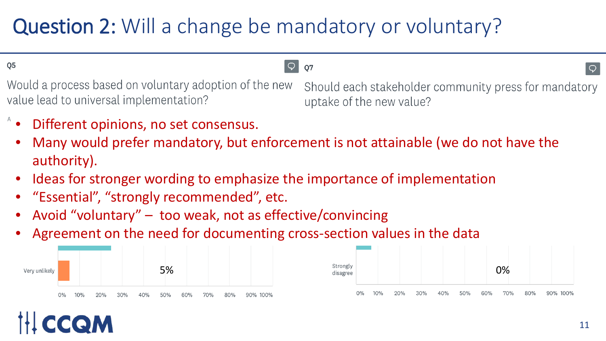# Question 2: Will a change be mandatory or voluntary?

Q<sub>5</sub>

Would a process based on voluntary adoption of the new value lead to universal implementation?

#### $\circ$ **07**

Should each stakeholder community press for mandatory uptake of the new value?

- Different opinions, no set consensus.
- Many would prefer mandatory, but enforcement is not attainable (we do not have the authority).
- Ideas for stronger wording to emphasize the importance of implementation
- "Essential", "strongly recommended", etc.
- $\frac{1}{2}$ • Avoid "voluntary" – too weak, not as effective/convincing
- Agreement on the need for documenting cross-section values in the data

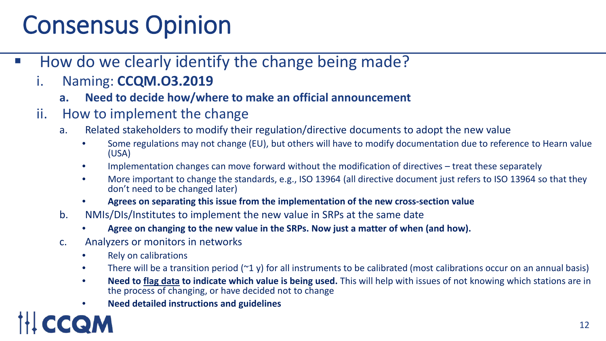# Consensus Opinion

- How do we clearly identify the change being made?
	- i. Naming: **CCQM.O3.2019**
		- **a. Need to decide how/where to make an official announcement**
	- ii. How to implement the change
		- a. Related stakeholders to modify their regulation/directive documents to adopt the new value
			- Some regulations may not change (EU), but others will have to modify documentation due to reference to Hearn value (USA)
			- Implementation changes can move forward without the modification of directives treat these separately
			- More important to change the standards, e.g., ISO 13964 (all directive document just refers to ISO 13964 so that they don't need to be changed later)
			- **Agrees on separating this issue from the implementation of the new cross-section value**
		- b. NMIs/DIs/Institutes to implement the new value in SRPs at the same date
			- **Agree on changing to the new value in the SRPs. Now just a matter of when (and how).**
		- c. Analyzers or monitors in networks
			- Rely on calibrations
			- There will be a transition period ( $2$  y) for all instruments to be calibrated (most calibrations occur on an annual basis)
			- **Need to flag data to indicate which value is being used.** This will help with issues of not knowing which stations are in the process of changing, or have decided not to change
			- **Need detailed instructions and guidelines**